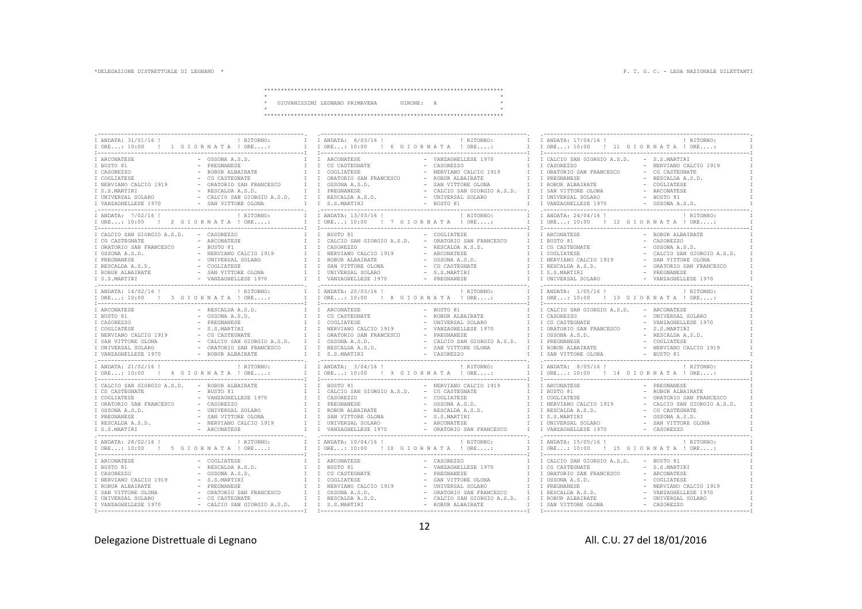\*\*\*\*\*\*\*\*\*\*\*\*\*\*\*\*\*\*\*\*\*\*\*\*\*\*\*\*\*\*\*\*\*\*\*\*\*\*\*\*\*\*\*\*\*\*\*\*\*\*\*\*\*\*\*\*\*\*\*\*\*\*\*\*\*\*\*\*\*\*\*\*

|  | GIOVANISSIMI LEGNANO PRIMAVERA | GIRONE: | $\overline{A}$ |  |
|--|--------------------------------|---------|----------------|--|
|  |                                |         |                |  |
|  |                                |         |                |  |

| ! RITORNO:<br>I ANDATA: 31/01/16 !                         | I ANDATA: 6/03/16 !                            | ! RITORNO:<br>$\top$                    | I ANDATA: 17/04/16 !                     | <b>I RTTORNO:</b>           |
|------------------------------------------------------------|------------------------------------------------|-----------------------------------------|------------------------------------------|-----------------------------|
|                                                            |                                                |                                         | I ORE: 10:00 ! 11 G I OR N A T A ! ORE:  |                             |
|                                                            |                                                |                                         |                                          |                             |
|                                                            |                                                |                                         |                                          |                             |
| - OSSONA A.S.D.<br>I ARCONATESE                            | ARCONATESE                                     | - VANZAGHELLESE 1970                    | I CALCIO SAN GIORGIO A.S.D.              | - S.S.MARTIRI               |
| I BUSTO 81<br>PREGNANESE<br>$\mathbbm{I}$                  | $\mathbb T$<br>CG CASTEGNATE                   | - CASOREZZO                             | I CASOREZZO                              | - NERVIANO CALCIO 1919      |
| I CASOREZZO<br>ROBUR ALBAIRATE                             | $\mathbb T$<br>COGLIATESE                      | NERVIANO CALCIO 1919                    | I ORATORIO SAN FRANCESCO                 | - CG CASTEGNATE             |
| I COGLIATESE<br>$\sim$<br>CG CASTEGNATE                    | ORATORIO SAN FRANCESCO<br>$\mathbb{I}$         | - ROBUR ALBAIRATE                       | I PREGNANESE                             | - RESCALDA A.S.D.           |
| I NERVIANO CALCIO 1919<br>ORATORIO SAN FRANCESCO<br>$\top$ | T<br>OSSONA A.S.D.                             | SAN VITTORE OLONA<br>$\top$             | I ROBUR ALBAIRATE                        | COGLIATESE                  |
| I S.S.MARTIRI<br>RESCALDA A.S.D.<br>$\top$                 | PREGNANESE<br>T                                | - CALCIO SAN GIORGIO A.S.D.<br>T        | I SAN VITTORE OLONA                      | - ARCONATESE                |
| I UNIVERSAL SOLARO<br>- CALCIO SAN GIORGIO A.S.D.<br>T     | RESCALDA A.S.D.<br>T                           | - UNIVERSAL SOLARO<br>$\top$            | I UNIVERSAL SOLARO                       | - BUSTO 81                  |
|                                                            |                                                |                                         |                                          |                             |
| I VANZAGHELLESE 1970<br>- SAN VITTORE OLONA                | I S.S.MARTIRI                                  | - BUSTO 81                              | T VANZAGHELLESE 1970                     | - OSSONA A.S.D.             |
|                                                            |                                                |                                         |                                          |                             |
| ! RITORNO:<br>I ANDATA: 7/02/16 !                          | I ANDATA: 13/03/16 !                           | ! RITORNO:                              | I ANDATA: 24/04/16 !                     | ! RITORNO:                  |
| I ORE: 10:00 ! 2 G I O R N A T A ! ORE:                    | I ORE: 10:00 ! 7 G I OR N A T A ! ORE:         |                                         | I ORE: 10:00 ! 12 G I ORNATA ! ORE:      |                             |
|                                                            |                                                |                                         |                                          |                             |
| I CALCIO SAN GIORGIO A.S.D.<br>- CASOREZZO                 | BUSTO 81<br>T                                  | - COGLIATESE<br>$\top$                  | I ARCONATESE                             | - ROBUR ALBAIRATE           |
| - ARCONATESE<br>T<br>I CG CASTEGNATE                       | I CALCIO SAN GIORGIO A.S.D.                    | - ORATORIO SAN FRANCESCO<br>$\top$      | I BUSTO 81                               | - CASOREZZO                 |
| I ORATORIO SAN FRANCESCO<br>$-$ BUSTO 81<br>$\mathbb{I}$   | $\mathbb{I}$<br>CASOREZZO                      | - RESCALDA A.S.D.<br>$\mathbb T$        | I CG CASTEGNATE                          | $-$ OSSONA A.S.D.           |
|                                                            | T                                              | - ARCONATESE<br>$\top$                  | <b>T COGLIATESE</b>                      |                             |
| I OSSONA A.S.D.<br>NERVIANO CALCIO 1919<br>$\top$          | NERVIANO CALCIO 1919                           |                                         |                                          | CALCIO SAN GIORGIO A.S.D.   |
| - UNIVERSAL SOLARO<br>I PREGNANESE<br>$\top$               | T<br>ROBUR ALBAIRATE                           | - OSSONA A.S.D.                         | I NERVIANO CALCIO 1919                   | SAN VITTORE OLONA           |
| - COGLIATESE<br>I RESCALDA A.S.D.                          | T<br>SAN VITTORE OLONA                         | - CG CASTEGNATE<br>T                    | I RESCALDA A.S.D.                        | - ORATORIO SAN FRANCESCO    |
| I ROBUR ALBAIRATE<br>- SAN VITTORE OLONA<br>$\top$         | T<br>UNIVERSAL SOLARO                          | - S.S.MARTIRI<br>T                      | I S.S.MARTIRI                            | - PREGNANESE                |
| I S.S.MARTIRI<br>VANZAGHELLESE 1970<br>$\top$              | VANZAGHELLESE 1970<br>T                        | - PREGNANESE                            | I UNIVERSAL SOLARO                       | - VANZAGHELLESE 1970        |
|                                                            | -----------------------                        |                                         |                                          |                             |
| ! RITORNO:<br>I ANDATA: 14/02/16 !                         | I ANDATA: 20/03/16 !                           | ! RITORNO:                              | I ANDATA: 1/05/16 !                      | ! RITORNO:                  |
| I ORE: 10:00 ! 3 G I OR N A T A ! ORE:<br>$\top$           | I ORE: 10:00 ! 8 G I O R N A T A ! ORE:        |                                         | I ORE: 10:00 ! 13 G I O R N A T A ! ORE: |                             |
|                                                            |                                                |                                         |                                          |                             |
| RESCALDA A.S.D.<br>I ARCONATESE                            | T<br>ARCONATESE                                | BUSTO 81                                | I CALCIO SAN GIORGIO A.S.D.              | - ARCONATESE                |
|                                                            |                                                |                                         |                                          |                             |
| I BUSTO 81<br>OSSONA A.S.D.<br>$\mathbb T$                 | I CG CASTEGNATE                                | ROBUR ALBAIRATE<br>$\mathbbm{I}$        | I CASOREZZO                              | - UNIVERSAL SOLARO          |
| I CASOREZZO<br>$\sim$<br>PREGNANESE<br>$\top$              | T<br>COGLIATESE<br>$\sim$                      | UNIVERSAL SOLARO                        | I CG CASTEGNATE                          | - VANZAGHELLESE 1970        |
| I COGLIATESE<br>$\top$<br>- S.S.MARTIRI                    | T<br>NERVIANO CALCIO 1919                      | VANZAGHELLESE 1970                      | I ORATORIO SAN FRANCESCO                 | - S.S.MARTIRI               |
| I NERVIANO CALCIO 1919<br>- CG CASTEGNATE<br>$\top$        | ORATORIO SAN FRANCESCO<br>T                    | PREGNANESE                              | I OSSONA A.S.D.                          | - RESCALDA A.S.D.           |
| I SAN VITTORE OLONA<br>- CALCIO SAN GIORGIO A.S.D.<br>T    | T<br>OSSONA A.S.D.                             | CALCIO SAN GIORGIO A.S.D. I             | I PREGNANESE                             | COGLIATESE                  |
| I UNIVERSAL SOLARO<br>- ORATORIO SAN FRANCESCO             | I I RESCALDA A.S.D.                            | - SAN VITTORE OLONA<br>$\top$           | I ROBUR ALBAIRATE                        | - NERVIANO CALCIO 1919      |
| - ROBUR ALBAIRATE<br>I VANZAGHELLESE 1970                  | I I S.S.MARTIRI                                | - CASOREZZO                             | I SAN VITTORE OLONA                      | - BUSTO 81                  |
|                                                            |                                                |                                         |                                          |                             |
| ! RITORNO:<br>I ANDATA: 21/02/16 !                         | I I ANDATA: $3/04/16$ !                        | ! RITORNO:<br>T                         | I ANDATA: 8/05/16 !                      | ! RITORNO:                  |
| I ORE: 10:00 ! 4 G I O R N A T A ! ORE:                    | I I ORE: 10:00                                 | ! 9 GIORNATA ! ORE:<br>$\mathbb T$      | I ORE: 10:00 ! 14 G I ORNATA ! ORE:      |                             |
|                                                            |                                                |                                         |                                          |                             |
|                                                            |                                                | $\top$                                  |                                          |                             |
| I CALCIO SAN GIORGIO A.S.D.<br>- ROBUR ALBAIRATE           | I I BUSTO 81                                   | - NERVIANO CALCIO 1919                  | I ARCONATESE                             | - PREGNANESE                |
| I CG CASTEGNATE<br>$-$ BUSTO 81<br>$\top$                  | CALCIO SAN GIORGIO A.S.D. - CG CASTEGNATE<br>T | T                                       | T BUSTO 81                               | - ROBUR ALBAIRATE           |
| I COGLIATESE<br>- VANZAGHELLESE 1970                       | T<br>CASOREZZO                                 | - COGLIATESE                            | I COGLIATESE                             | ORATORIO SAN FRANCESCO      |
| I ORATORIO SAN FRANCESCO<br>- CASOREZZO                    | T<br>PREGNANESE                                | - OSSONA A.S.D.                         | I NERVIANO CALCIO 1919                   | - CALCIO SAN GIORGIO A.S.D. |
| I OSSONA A.S.D.<br>- UNIVERSAL SOLARO<br>$\top$            | $\mathbb{I}$<br>ROBUR ALBAIRATE                | - RESCALDA A.S.D.                       | I RESCALDA A.S.D.                        | - CG CASTEGNATE             |
| I PREGNANESE<br>- SAN VITTORE OLONA                        | $\mathbb{I}$<br>SAN VITTORE OLONA              | - S.S.MARTIRI<br>$\top$                 | I S.S.MARTIRI                            | - OSSONA A.S.D.             |
| I RESCALDA A.S.D.<br>- NERVIANO CALCIO 1919                | UNIVERSAL SOLARO<br>$\mathbb{I}$               | - ARCONATESE                            | I UNIVERSAL SOLARO                       | - SAN VITTORE OLONA         |
| I S.S.MARTIRI<br>- ARCONATESE                              | VANZAGHELLESE 1970                             | - ORATORIO SAN FRANCESCO                | I VANZAGHELLESE 1970                     | - CASOREZZO                 |
| ------------------------------<br>----------------         |                                                |                                         | -----------------------------            |                             |
| I ANDATA: 28/02/16 !<br>! RITORNO:                         | I I ANDATA: 10/04/16 !                         | <b>! RITORNO:</b><br>T                  | I ANDATA: 15/05/16 !                     | <b>! RITORNO:</b>           |
|                                                            |                                                |                                         |                                          |                             |
| IORE: 10:00 ! 5 GIORNATA ! ORE:                            | T ORE: 10:00                                   | ! 10 GIORNATA ! ORE:                    | T ORE: 10:00                             | ! 15 GIORNATA ! ORE:        |
|                                                            |                                                |                                         |                                          |                             |
| I ARCONATESE<br>COGLIATESE                                 | I ARCONATESE                                   | CASOREZZO                               | I CALCIO SAN GIORGIO A.S.D.              | - BUSTO 81                  |
| I BUSTO 81<br>RESCALDA A.S.D.<br>T                         | I BUSTO 81<br>$\sim$                           | VANZAGHELLESE 1970<br>$\top$            | I CG CASTEGNATE                          | - S.S.MARTIRI               |
| I CASOREZZO<br>OSSONA A.S.D.<br>$\top$                     | I CG CASTEGNATE                                | PREGNANESE<br>$\top$                    | I ORATORIO SAN FRANCESCO                 | - ARCONATESE                |
| I NERVIANO CALCIO 1919<br>S.S.MARTIRI                      | COGLIATESE<br>T                                | SAN VITTORE OLONA<br>$\top$             | I OSSONA A.S.D.                          | - COGLIATESE                |
| I ROBUR ALBAIRATE<br>PREGNANESE                            | $\mathbb{I}$<br>NERVIANO CALCIO 1919           | UNIVERSAL SOLARO<br>T                   | I PREGNANESE                             | NERVIANO CALCIO 1919        |
|                                                            |                                                |                                         |                                          |                             |
| I SAN VITTORE OLONA<br>ORATORIO SAN FRANCESCO<br>$\top$    | $\mathbb{I}$<br>OSSONA A.S.D.                  | ORATORIO SAN FRANCESCO<br>$\mathbbm{I}$ | I RESCALDA A.S.D.                        | VANZAGHELLESE 1970          |
| - CG CASTEGNATE<br>I UNIVERSAL SOLARO                      | $I \quad I$<br>RESCALDA A.S.D.                 | - CALCIO SAN GIORGIO A.S.D.<br>$\top$   | I ROBUR ALBAIRATE                        | - UNIVERSAL SOLARO          |
| I VANZAGHELLESE 1970<br>- CALCIO SAN GIORGIO A.S.D.        | I I S.S.MARTIRI                                | - ROBUR ALBAIRATE                       | I SAN VITTORE OLONA                      | - CASOREZZO                 |
|                                                            |                                                |                                         |                                          |                             |

12

Delegazione Distrettuale di Legnano anno 1992 anno 2008. All. C.U. 27 del 18/01/2016